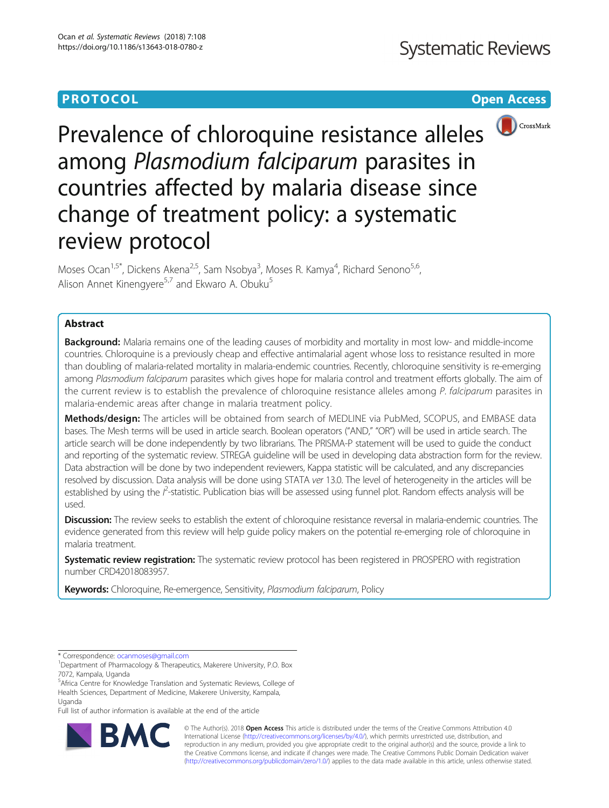# **PROTOCOL CONSUMING THE OPEN ACCESS**



Prevalence of chloroquine resistance alleles among Plasmodium falciparum parasites in countries affected by malaria disease since change of treatment policy: a systematic review protocol

Moses Ocan<sup>1,5\*</sup>, Dickens Akena<sup>2,5</sup>, Sam Nsobya<sup>3</sup>, Moses R. Kamya<sup>4</sup>, Richard Senono<sup>5,6</sup>, Alison Annet Kinengyere<sup>5,7</sup> and Ekwaro A. Obuku<sup>5</sup>

# Abstract

**Background:** Malaria remains one of the leading causes of morbidity and mortality in most low- and middle-income countries. Chloroquine is a previously cheap and effective antimalarial agent whose loss to resistance resulted in more than doubling of malaria-related mortality in malaria-endemic countries. Recently, chloroquine sensitivity is re-emerging among Plasmodium falciparum parasites which gives hope for malaria control and treatment efforts globally. The aim of the current review is to establish the prevalence of chloroquine resistance alleles among P. falciparum parasites in malaria-endemic areas after change in malaria treatment policy.

Methods/design: The articles will be obtained from search of MEDLINE via PubMed, SCOPUS, and EMBASE data bases. The Mesh terms will be used in article search. Boolean operators ("AND," "OR") will be used in article search. The article search will be done independently by two librarians. The PRISMA-P statement will be used to guide the conduct and reporting of the systematic review. STREGA guideline will be used in developing data abstraction form for the review. Data abstraction will be done by two independent reviewers, Kappa statistic will be calculated, and any discrepancies resolved by discussion. Data analysis will be done using STATA ver 13.0. The level of heterogeneity in the articles will be established by using the *l*<sup>2</sup>-statistic. Publication bias will be assessed using funnel plot. Random effects analysis will be used.

Discussion: The review seeks to establish the extent of chloroquine resistance reversal in malaria-endemic countries. The evidence generated from this review will help guide policy makers on the potential re-emerging role of chloroquine in malaria treatment.

**Systematic review registration:** The systematic review protocol has been registered in PROSPERO with registration number CRD42018083957.

Keywords: Chloroquine, Re-emergence, Sensitivity, Plasmodium falciparum, Policy

\* Correspondence: [ocanmoses@gmail.com](mailto:ocanmoses@gmail.com) <sup>1</sup>

Full list of author information is available at the end of the article



© The Author(s). 2018 Open Access This article is distributed under the terms of the Creative Commons Attribution 4.0 International License [\(http://creativecommons.org/licenses/by/4.0/](http://creativecommons.org/licenses/by/4.0/)), which permits unrestricted use, distribution, and reproduction in any medium, provided you give appropriate credit to the original author(s) and the source, provide a link to the Creative Commons license, and indicate if changes were made. The Creative Commons Public Domain Dedication waiver [\(http://creativecommons.org/publicdomain/zero/1.0/](http://creativecommons.org/publicdomain/zero/1.0/)) applies to the data made available in this article, unless otherwise stated.

<sup>&</sup>lt;sup>1</sup>Department of Pharmacology & Therapeutics, Makerere University, P.O. Box 7072, Kampala, Uganda

<sup>5</sup> Africa Centre for Knowledge Translation and Systematic Reviews, College of Health Sciences, Department of Medicine, Makerere University, Kampala, Uganda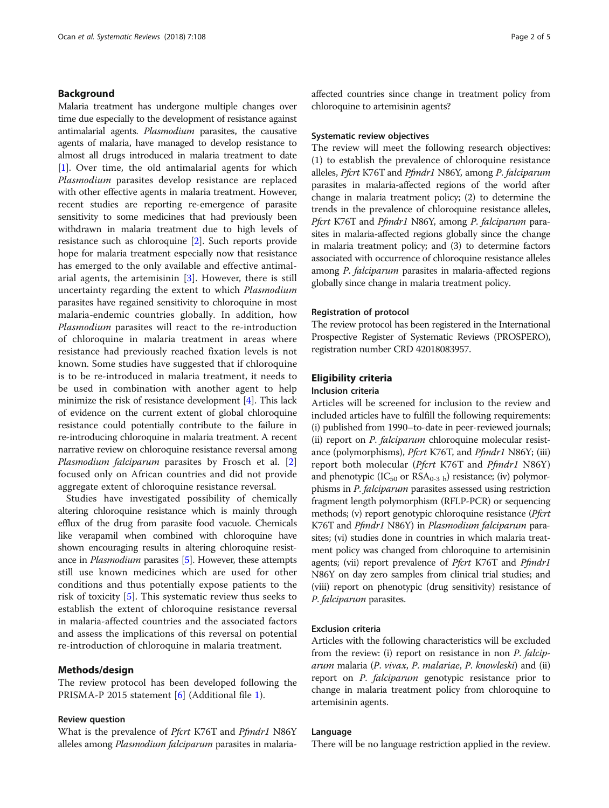# Background

Malaria treatment has undergone multiple changes over time due especially to the development of resistance against antimalarial agents. Plasmodium parasites, the causative agents of malaria, have managed to develop resistance to almost all drugs introduced in malaria treatment to date [[1](#page-4-0)]. Over time, the old antimalarial agents for which Plasmodium parasites develop resistance are replaced with other effective agents in malaria treatment. However, recent studies are reporting re-emergence of parasite sensitivity to some medicines that had previously been withdrawn in malaria treatment due to high levels of resistance such as chloroquine [\[2\]](#page-4-0). Such reports provide hope for malaria treatment especially now that resistance has emerged to the only available and effective antimalarial agents, the artemisinin [[3\]](#page-4-0). However, there is still uncertainty regarding the extent to which Plasmodium parasites have regained sensitivity to chloroquine in most malaria-endemic countries globally. In addition, how Plasmodium parasites will react to the re-introduction of chloroquine in malaria treatment in areas where resistance had previously reached fixation levels is not known. Some studies have suggested that if chloroquine is to be re-introduced in malaria treatment, it needs to be used in combination with another agent to help minimize the risk of resistance development [[4\]](#page-4-0). This lack of evidence on the current extent of global chloroquine resistance could potentially contribute to the failure in re-introducing chloroquine in malaria treatment. A recent narrative review on chloroquine resistance reversal among Plasmodium falciparum parasites by Frosch et al. [\[2](#page-4-0)] focused only on African countries and did not provide aggregate extent of chloroquine resistance reversal.

Studies have investigated possibility of chemically altering chloroquine resistance which is mainly through efflux of the drug from parasite food vacuole. Chemicals like verapamil when combined with chloroquine have shown encouraging results in altering chloroquine resistance in *Plasmodium* parasites [[5](#page-4-0)]. However, these attempts still use known medicines which are used for other conditions and thus potentially expose patients to the risk of toxicity [[5](#page-4-0)]. This systematic review thus seeks to establish the extent of chloroquine resistance reversal in malaria-affected countries and the associated factors and assess the implications of this reversal on potential re-introduction of chloroquine in malaria treatment.

### Methods/design

The review protocol has been developed following the PRISMA-P 2015 statement [[6\]](#page-4-0) (Additional file [1](#page-3-0)).

### Review question

What is the prevalence of *Pfcrt K76T* and *Pfmdr1* N86Y alleles among *Plasmodium falciparum* parasites in malariaaffected countries since change in treatment policy from chloroquine to artemisinin agents?

## Systematic review objectives

The review will meet the following research objectives: (1) to establish the prevalence of chloroquine resistance alleles, Pfcrt K76T and Pfmdr1 N86Y, among P. falciparum parasites in malaria-affected regions of the world after change in malaria treatment policy; (2) to determine the trends in the prevalence of chloroquine resistance alleles, Pfcrt K76T and Pfmdr1 N86Y, among P. falciparum parasites in malaria-affected regions globally since the change in malaria treatment policy; and (3) to determine factors associated with occurrence of chloroquine resistance alleles among P. falciparum parasites in malaria-affected regions globally since change in malaria treatment policy.

### Registration of protocol

The review protocol has been registered in the International Prospective Register of Systematic Reviews (PROSPERO), registration number CRD 42018083957.

## Eligibility criteria

# Inclusion criteria

Articles will be screened for inclusion to the review and included articles have to fulfill the following requirements: (i) published from 1990–to-date in peer-reviewed journals; (ii) report on P. falciparum chloroquine molecular resistance (polymorphisms), *Pfcrt* K76T, and *Pfmdr1* N86Y; (iii) report both molecular (*Pfcrt K76T* and *Pfmdr1* N86Y) and phenotypic (IC<sub>50</sub> or RSA<sub>0-3 h</sub>) resistance; (iv) polymorphisms in P. falciparum parasites assessed using restriction fragment length polymorphism (RFLP-PCR) or sequencing methods; (v) report genotypic chloroquine resistance (*Pfcrt*) K76T and Pfmdr1 N86Y) in Plasmodium falciparum parasites; (vi) studies done in countries in which malaria treatment policy was changed from chloroquine to artemisinin agents; (vii) report prevalence of Pfcrt K76T and Pfmdr1 N86Y on day zero samples from clinical trial studies; and (viii) report on phenotypic (drug sensitivity) resistance of P. falciparum parasites.

# Exclusion criteria

Articles with the following characteristics will be excluded from the review: (i) report on resistance in non P. falciparum malaria (P. vivax, P. malariae, P. knowleski) and (ii) report on P. falciparum genotypic resistance prior to change in malaria treatment policy from chloroquine to artemisinin agents.

### Language

There will be no language restriction applied in the review.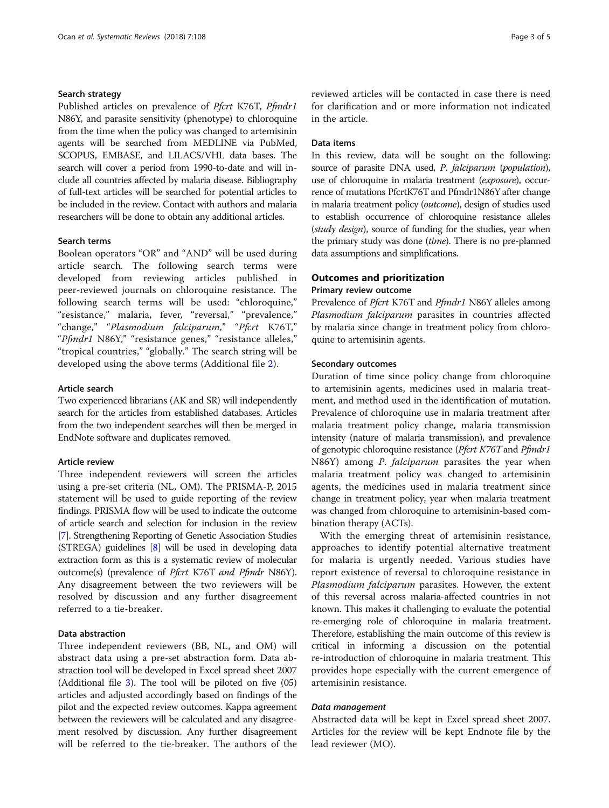# Search strategy

Published articles on prevalence of *Pfcrt K76T*, *Pfmdr1* N86Y, and parasite sensitivity (phenotype) to chloroquine from the time when the policy was changed to artemisinin agents will be searched from MEDLINE via PubMed, SCOPUS, EMBASE, and LILACS/VHL data bases. The search will cover a period from 1990-to-date and will include all countries affected by malaria disease. Bibliography of full-text articles will be searched for potential articles to be included in the review. Contact with authors and malaria researchers will be done to obtain any additional articles.

# Search terms

Boolean operators "OR" and "AND" will be used during article search. The following search terms were developed from reviewing articles published in peer-reviewed journals on chloroquine resistance. The following search terms will be used: "chloroquine," "resistance," malaria, fever, "reversal," "prevalence," "change," "Plasmodium falciparum," "Pfcrt K76T," "Pfmdr1 N86Y," "resistance genes," "resistance alleles," "tropical countries," "globally." The search string will be developed using the above terms (Additional file [2](#page-3-0)).

### Article search

Two experienced librarians (AK and SR) will independently search for the articles from established databases. Articles from the two independent searches will then be merged in EndNote software and duplicates removed.

# Article review

Three independent reviewers will screen the articles using a pre-set criteria (NL, OM). The PRISMA-P, 2015 statement will be used to guide reporting of the review findings. PRISMA flow will be used to indicate the outcome of article search and selection for inclusion in the review [[7](#page-4-0)]. Strengthening Reporting of Genetic Association Studies (STREGA) guidelines [\[8](#page-4-0)] will be used in developing data extraction form as this is a systematic review of molecular outcome(s) (prevalence of *Pfcrt K76T and Pfmdr N86Y*). Any disagreement between the two reviewers will be resolved by discussion and any further disagreement referred to a tie-breaker.

# Data abstraction

Three independent reviewers (BB, NL, and OM) will abstract data using a pre-set abstraction form. Data abstraction tool will be developed in Excel spread sheet 2007 (Additional file [3\)](#page-3-0). The tool will be piloted on five (05) articles and adjusted accordingly based on findings of the pilot and the expected review outcomes. Kappa agreement between the reviewers will be calculated and any disagreement resolved by discussion. Any further disagreement will be referred to the tie-breaker. The authors of the reviewed articles will be contacted in case there is need for clarification and or more information not indicated in the article.

# Data items

In this review, data will be sought on the following: source of parasite DNA used, P. falciparum (population), use of chloroquine in malaria treatment (exposure), occurrence of mutations PfcrtK76T and Pfmdr1N86Y after change in malaria treatment policy (outcome), design of studies used to establish occurrence of chloroquine resistance alleles (study design), source of funding for the studies, year when the primary study was done (time). There is no pre-planned data assumptions and simplifications.

# Outcomes and prioritization

### Primary review outcome

Prevalence of *Pfcrt* K76T and *Pfmdr1* N86Y alleles among Plasmodium falciparum parasites in countries affected by malaria since change in treatment policy from chloroquine to artemisinin agents.

### Secondary outcomes

Duration of time since policy change from chloroquine to artemisinin agents, medicines used in malaria treatment, and method used in the identification of mutation. Prevalence of chloroquine use in malaria treatment after malaria treatment policy change, malaria transmission intensity (nature of malaria transmission), and prevalence of genotypic chloroquine resistance (*Pfcrt K76T* and *Pfmdr1* N86Y) among *P. falciparum* parasites the year when malaria treatment policy was changed to artemisinin agents, the medicines used in malaria treatment since change in treatment policy, year when malaria treatment was changed from chloroquine to artemisinin-based combination therapy (ACTs).

With the emerging threat of artemisinin resistance, approaches to identify potential alternative treatment for malaria is urgently needed. Various studies have report existence of reversal to chloroquine resistance in Plasmodium falciparum parasites. However, the extent of this reversal across malaria-affected countries in not known. This makes it challenging to evaluate the potential re-emerging role of chloroquine in malaria treatment. Therefore, establishing the main outcome of this review is critical in informing a discussion on the potential re-introduction of chloroquine in malaria treatment. This provides hope especially with the current emergence of artemisinin resistance.

Abstracted data will be kept in Excel spread sheet 2007. Articles for the review will be kept Endnote file by the lead reviewer (MO).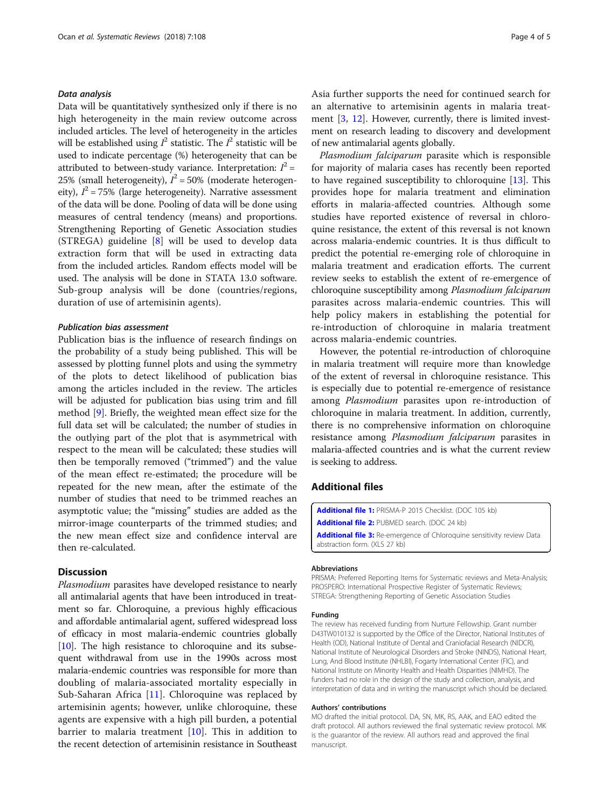<span id="page-3-0"></span>Data will be quantitatively synthesized only if there is no high heterogeneity in the main review outcome across included articles. The level of heterogeneity in the articles will be established using  $I^2$  statistic. The  $I^2$  statistic will be used to indicate percentage (%) heterogeneity that can be attributed to between-study variance. Interpretation:  $I^2$  = 25% (small heterogeneity),  $I^2 = 50\%$  (moderate heterogeneity),  $I^2 = 75\%$  (large heterogeneity). Narrative assessment of the data will be done. Pooling of data will be done using measures of central tendency (means) and proportions. Strengthening Reporting of Genetic Association studies (STREGA) guideline  $[8]$  $[8]$  will be used to develop data extraction form that will be used in extracting data from the included articles. Random effects model will be used. The analysis will be done in STATA 13.0 software. Sub-group analysis will be done (countries/regions, duration of use of artemisinin agents).

### **Publication hias assessment**

Publication bias is the influence of research findings on the probability of a study being published. This will be assessed by plotting funnel plots and using the symmetry of the plots to detect likelihood of publication bias among the articles included in the review. The articles will be adjusted for publication bias using trim and fill method [\[9](#page-4-0)]. Briefly, the weighted mean effect size for the full data set will be calculated; the number of studies in the outlying part of the plot that is asymmetrical with respect to the mean will be calculated; these studies will then be temporally removed ("trimmed") and the value of the mean effect re-estimated; the procedure will be repeated for the new mean, after the estimate of the number of studies that need to be trimmed reaches an asymptotic value; the "missing" studies are added as the mirror-image counterparts of the trimmed studies; and the new mean effect size and confidence interval are then re-calculated.

# **Discussion**

Plasmodium parasites have developed resistance to nearly all antimalarial agents that have been introduced in treatment so far. Chloroquine, a previous highly efficacious and affordable antimalarial agent, suffered widespread loss of efficacy in most malaria-endemic countries globally [[10](#page-4-0)]. The high resistance to chloroquine and its subsequent withdrawal from use in the 1990s across most malaria-endemic countries was responsible for more than doubling of malaria-associated mortality especially in Sub-Saharan Africa [[11](#page-4-0)]. Chloroquine was replaced by artemisinin agents; however, unlike chloroquine, these agents are expensive with a high pill burden, a potential barrier to malaria treatment  $[10]$  $[10]$ . This in addition to the recent detection of artemisinin resistance in Southeast Asia further supports the need for continued search for an alternative to artemisinin agents in malaria treatment [\[3](#page-4-0), [12](#page-4-0)]. However, currently, there is limited investment on research leading to discovery and development of new antimalarial agents globally.

Plasmodium falciparum parasite which is responsible for majority of malaria cases has recently been reported to have regained susceptibility to chloroquine [[13](#page-4-0)]. This provides hope for malaria treatment and elimination efforts in malaria-affected countries. Although some studies have reported existence of reversal in chloroquine resistance, the extent of this reversal is not known across malaria-endemic countries. It is thus difficult to predict the potential re-emerging role of chloroquine in malaria treatment and eradication efforts. The current review seeks to establish the extent of re-emergence of chloroquine susceptibility among Plasmodium falciparum parasites across malaria-endemic countries. This will help policy makers in establishing the potential for re-introduction of chloroquine in malaria treatment across malaria-endemic countries.

However, the potential re-introduction of chloroquine in malaria treatment will require more than knowledge of the extent of reversal in chloroquine resistance. This is especially due to potential re-emergence of resistance among Plasmodium parasites upon re-introduction of chloroquine in malaria treatment. In addition, currently, there is no comprehensive information on chloroquine resistance among Plasmodium falciparum parasites in malaria-affected countries and is what the current review is seeking to address.

# Additional files

[Additional file 1:](https://doi.org/10.1186/s13643-018-0780-z) PRISMA-P 2015 Checklist. (DOC 105 kb) [Additional file 2:](https://doi.org/10.1186/s13643-018-0780-z) PUBMED search. (DOC 24 kb) [Additional file 3:](https://doi.org/10.1186/s13643-018-0780-z) Re-emergence of Chloroquine sensitivity review Data abstraction form. (XLS 27 kb)

### Abbreviations

PRISMA: Preferred Reporting Items for Systematic reviews and Meta-Analysis; PROSPERO: International Prospective Register of Systematic Reviews; STREGA: Strengthening Reporting of Genetic Association Studies

### Funding

The review has received funding from Nurture Fellowship. Grant number D43TW010132 is supported by the Office of the Director, National Institutes of Health (OD), National Institute of Dental and Craniofacial Research (NIDCR), National Institute of Neurological Disorders and Stroke (NINDS), National Heart, Lung, And Blood Institute (NHLBI), Fogarty International Center (FIC), and National Institute on Minority Health and Health Disparities (NIMHD). The funders had no role in the design of the study and collection, analysis, and interpretation of data and in writing the manuscript which should be declared.

### Authors' contributions

MO drafted the initial protocol. DA, SN, MK, RS, AAK, and EAO edited the draft protocol. All authors reviewed the final systematic review protocol. MK is the guarantor of the review. All authors read and approved the final manuscript.